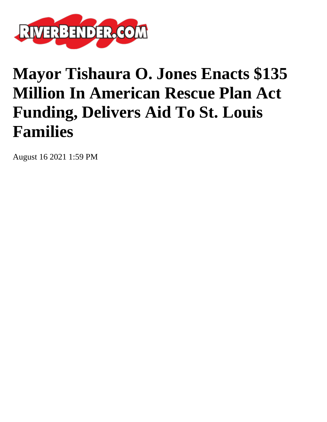

## **Mayor Tishaura O. Jones Enacts \$135 Million In American Rescue Plan Act Funding, Delivers Aid To St. Louis Families**

August 16 2021 1:59 PM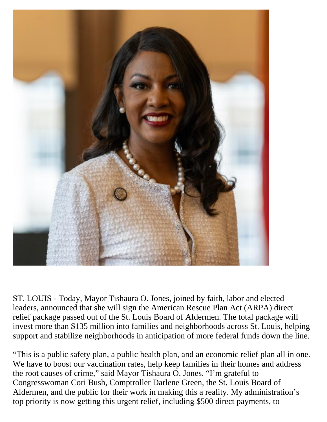

ST. LOUIS - Today, Mayor Tishaura O. Jones, joined by faith, labor and elected leaders, announced that she will sign the American Rescue Plan Act (ARPA) direct relief package passed out of the St. Louis Board of Aldermen. The total package will invest more than \$135 million into families and neighborhoods across St. Louis, helping support and stabilize neighborhoods in anticipation of more federal funds down the line.

"This is a public safety plan, a public health plan, and an economic relief plan all in one. We have to boost our vaccination rates, help keep families in their homes and address the root causes of crime," said Mayor Tishaura O. Jones. "I'm grateful to Congresswoman Cori Bush, Comptroller Darlene Green, the St. Louis Board of Aldermen, and the public for their work in making this a reality. My administration's top priority is now getting this urgent relief, including \$500 direct payments, to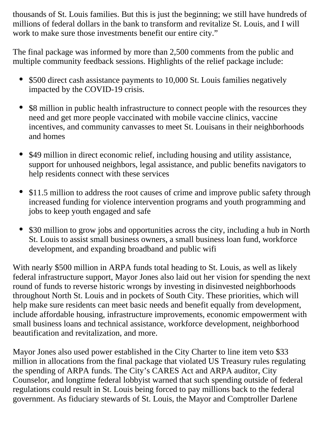thousands of St. Louis families. But this is just the beginning; we still have hundreds of millions of federal dollars in the bank to transform and revitalize St. Louis, and I will work to make sure those investments benefit our entire city."

The final package was informed by more than 2,500 comments from the public and multiple community feedback sessions. Highlights of the relief package include:

- \$500 direct cash assistance payments to 10,000 St. Louis families negatively impacted by the COVID-19 crisis.
- \$8 million in public health infrastructure to connect people with the resources they need and get more people vaccinated with mobile vaccine clinics, vaccine incentives, and community canvasses to meet St. Louisans in their neighborhoods and homes
- \$49 million in direct economic relief, including housing and utility assistance,  $\bullet$ support for unhoused neighbors, legal assistance, and public benefits navigators to help residents connect with these services
- \$11.5 million to address the root causes of crime and improve public safety through increased funding for violence intervention programs and youth programming and jobs to keep youth engaged and safe
- \$30 million to grow jobs and opportunities across the city, including a hub in North St. Louis to assist small business owners, a small business loan fund, workforce development, and expanding broadband and public wifi

With nearly \$500 million in ARPA funds total heading to St. Louis, as well as likely federal infrastructure support, Mayor Jones also laid out her vision for spending the next round of funds to reverse historic wrongs by investing in disinvested neighborhoods throughout North St. Louis and in pockets of South City. These priorities, which will help make sure residents can meet basic needs and benefit equally from development, include affordable housing, infrastructure improvements, economic empowerment with small business loans and technical assistance, workforce development, neighborhood beautification and revitalization, and more.

Mayor Jones also used power established in the City Charter to line item veto \$33 million in allocations from the final package that violated US Treasury rules regulating the spending of ARPA funds. The City's CARES Act and ARPA auditor, City Counselor, and longtime federal lobbyist warned that such spending outside of federal regulations could result in St. Louis being forced to pay millions back to the federal government. As fiduciary stewards of St. Louis, the Mayor and Comptroller Darlene